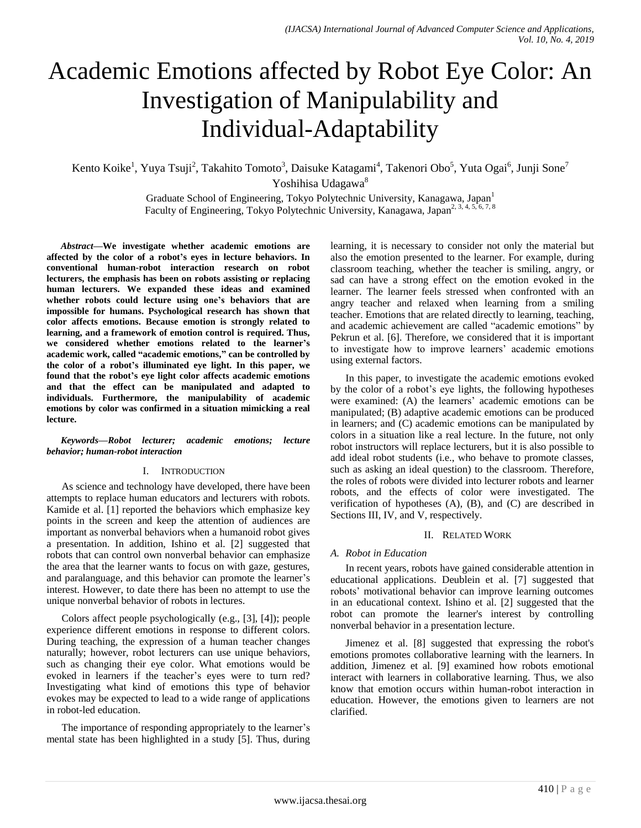# Academic Emotions affected by Robot Eye Color: An Investigation of Manipulability and Individual-Adaptability

Kento Koike<sup>1</sup>, Yuya Tsuji<sup>2</sup>, Takahito Tomoto<sup>3</sup>, Daisuke Katagami<sup>4</sup>, Takenori Obo<sup>5</sup>, Yuta Ogai<sup>6</sup>, Junji Sone<sup>7</sup> Yoshihisa Udagawa<sup>8</sup>

> Graduate School of Engineering, Tokyo Polytechnic University, Kanagawa, Japan<sup>1</sup> Faculty of Engineering, Tokyo Polytechnic University, Kanagawa, Japan<sup>2, 3, 4, 5, 6, 7, 8</sup>

*Abstract***—We investigate whether academic emotions are affected by the color of a robot's eyes in lecture behaviors. In conventional human-robot interaction research on robot lecturers, the emphasis has been on robots assisting or replacing human lecturers. We expanded these ideas and examined whether robots could lecture using one's behaviors that are impossible for humans. Psychological research has shown that color affects emotions. Because emotion is strongly related to learning, and a framework of emotion control is required. Thus, we considered whether emotions related to the learner's academic work, called "academic emotions," can be controlled by the color of a robot's illuminated eye light. In this paper, we found that the robot's eye light color affects academic emotions and that the effect can be manipulated and adapted to individuals. Furthermore, the manipulability of academic emotions by color was confirmed in a situation mimicking a real lecture.**

# *Keywords—Robot lecturer; academic emotions; lecture behavior; human-robot interaction*

# I. INTRODUCTION

As science and technology have developed, there have been attempts to replace human educators and lecturers with robots. Kamide et al. [1] reported the behaviors which emphasize key points in the screen and keep the attention of audiences are important as nonverbal behaviors when a humanoid robot gives a presentation. In addition, Ishino et al. [2] suggested that robots that can control own nonverbal behavior can emphasize the area that the learner wants to focus on with gaze, gestures, and paralanguage, and this behavior can promote the learner's interest. However, to date there has been no attempt to use the unique nonverbal behavior of robots in lectures.

Colors affect people psychologically (e.g., [3], [4]); people experience different emotions in response to different colors. During teaching, the expression of a human teacher changes naturally; however, robot lecturers can use unique behaviors, such as changing their eye color. What emotions would be evoked in learners if the teacher"s eyes were to turn red? Investigating what kind of emotions this type of behavior evokes may be expected to lead to a wide range of applications in robot-led education.

The importance of responding appropriately to the learner's mental state has been highlighted in a study [5]. Thus, during learning, it is necessary to consider not only the material but also the emotion presented to the learner. For example, during classroom teaching, whether the teacher is smiling, angry, or sad can have a strong effect on the emotion evoked in the learner. The learner feels stressed when confronted with an angry teacher and relaxed when learning from a smiling teacher. Emotions that are related directly to learning, teaching, and academic achievement are called "academic emotions" by Pekrun et al. [6]. Therefore, we considered that it is important to investigate how to improve learners' academic emotions using external factors.

In this paper, to investigate the academic emotions evoked by the color of a robot"s eye lights, the following hypotheses were examined: (A) the learners' academic emotions can be manipulated; (B) adaptive academic emotions can be produced in learners; and (C) academic emotions can be manipulated by colors in a situation like a real lecture. In the future, not only robot instructors will replace lecturers, but it is also possible to add ideal robot students (i.e., who behave to promote classes, such as asking an ideal question) to the classroom. Therefore, the roles of robots were divided into lecturer robots and learner robots, and the effects of color were investigated. The verification of hypotheses (A), (B), and (C) are described in Sections III, IV, and V, respectively.

## II. RELATED WORK

# *A. Robot in Education*

In recent years, robots have gained considerable attention in educational applications. Deublein et al. [7] suggested that robots' motivational behavior can improve learning outcomes in an educational context. Ishino et al. [2] suggested that the robot can promote the learner's interest by controlling nonverbal behavior in a presentation lecture.

Jimenez et al. [8] suggested that expressing the robot's emotions promotes collaborative learning with the learners. In addition, Jimenez et al. [9] examined how robots emotional interact with learners in collaborative learning. Thus, we also know that emotion occurs within human-robot interaction in education. However, the emotions given to learners are not clarified.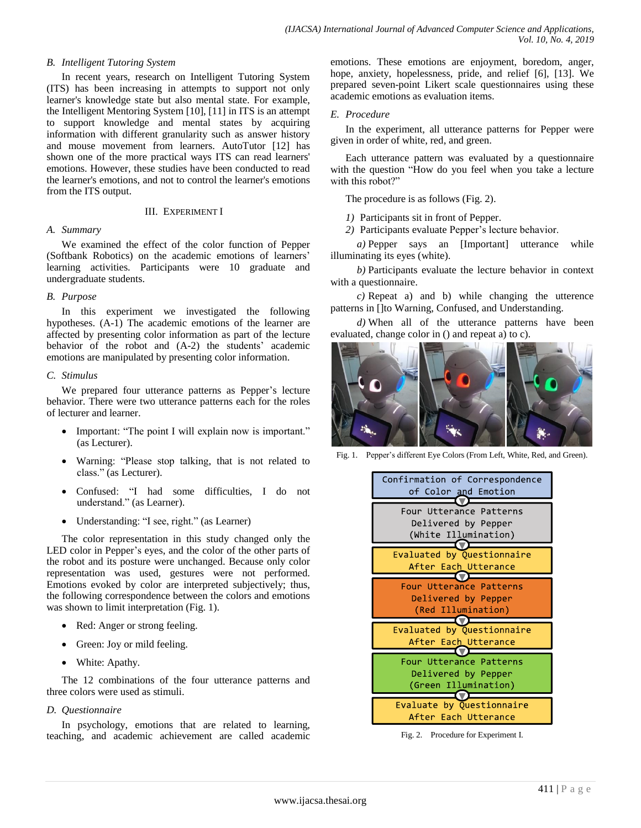# *B. Intelligent Tutoring System*

In recent years, research on Intelligent Tutoring System (ITS) has been increasing in attempts to support not only learner's knowledge state but also mental state. For example, the Intelligent Mentoring System [10], [11] in ITS is an attempt to support knowledge and mental states by acquiring information with different granularity such as answer history and mouse movement from learners. AutoTutor [12] has shown one of the more practical ways ITS can read learners' emotions. However, these studies have been conducted to read the learner's emotions, and not to control the learner's emotions from the ITS output.

## III. EXPERIMENT I

# *A. Summary*

We examined the effect of the color function of Pepper (Softbank Robotics) on the academic emotions of learners" learning activities. Participants were 10 graduate and undergraduate students.

# *B. Purpose*

In this experiment we investigated the following hypotheses. (A-1) The academic emotions of the learner are affected by presenting color information as part of the lecture behavior of the robot and (A-2) the students' academic emotions are manipulated by presenting color information.

# *C. Stimulus*

We prepared four utterance patterns as Pepper's lecture behavior. There were two utterance patterns each for the roles of lecturer and learner.

- Important: "The point I will explain now is important." (as Lecturer).
- Warning: "Please stop talking, that is not related to class." (as Lecturer).
- Confused: "I had some difficulties. I do not understand." (as Learner).
- Understanding: "I see, right." (as Learner)

The color representation in this study changed only the LED color in Pepper's eyes, and the color of the other parts of the robot and its posture were unchanged. Because only color representation was used, gestures were not performed. Emotions evoked by color are interpreted subjectively; thus, the following correspondence between the colors and emotions was shown to limit interpretation (Fig. 1).

- Red: Anger or strong feeling.
- Green: Joy or mild feeling.
- White: Apathy.

The 12 combinations of the four utterance patterns and three colors were used as stimuli.

# *D. Questionnaire*

In psychology, emotions that are related to learning, teaching, and academic achievement are called academic emotions. These emotions are enjoyment, boredom, anger, hope, anxiety, hopelessness, pride, and relief [6], [13]. We prepared seven-point Likert scale questionnaires using these academic emotions as evaluation items.

# *E. Procedure*

In the experiment, all utterance patterns for Pepper were given in order of white, red, and green.

Each utterance pattern was evaluated by a questionnaire with the question "How do you feel when you take a lecture with this robot?"

The procedure is as follows (Fig. 2).

*1)* Participants sit in front of Pepper.

*2)* Participants evaluate Pepper"s lecture behavior.

*a)* Pepper says an [Important] utterance while illuminating its eyes (white).

*b)* Participants evaluate the lecture behavior in context with a questionnaire.

*c)* Repeat a) and b) while changing the utterence patterns in []to Warning, Confused, and Understanding.

*d)* When all of the utterance patterns have been evaluated, change color in () and repeat a) to c).



Fig. 1. Pepper's different Eye Colors (From Left, White, Red, and Green).



Fig. 2. Procedure for Experiment I.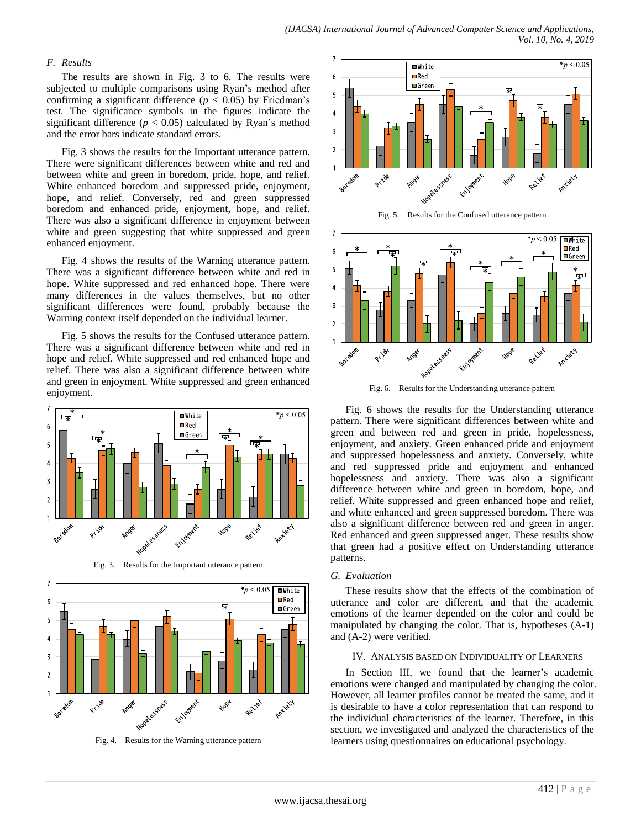# *F. Results*

The results are shown in Fig. 3 to 6. The results were subjected to multiple comparisons using Ryan's method after confirming a significant difference ( $p < 0.05$ ) by Friedman's test. The significance symbols in the figures indicate the significant difference  $(p < 0.05)$  calculated by Ryan's method and the error bars indicate standard errors.

Fig. 3 shows the results for the Important utterance pattern. There were significant differences between white and red and between white and green in boredom, pride, hope, and relief. White enhanced boredom and suppressed pride, enjoyment, hope, and relief. Conversely, red and green suppressed boredom and enhanced pride, enjoyment, hope, and relief. There was also a significant difference in enjoyment between white and green suggesting that white suppressed and green enhanced enjoyment.

Fig. 4 shows the results of the Warning utterance pattern. There was a significant difference between white and red in hope. White suppressed and red enhanced hope. There were many differences in the values themselves, but no other significant differences were found, probably because the Warning context itself depended on the individual learner.

Fig. 5 shows the results for the Confused utterance pattern. There was a significant difference between white and red in hope and relief. White suppressed and red enhanced hope and relief. There was also a significant difference between white and green in enjoyment. White suppressed and green enhanced enjoyment.



Fig. 3. Results for the Important utterance pattern



Fig. 4. Results for the Warning utterance pattern



Fig. 5. Results for the Confused utterance pattern



Fig. 6. Results for the Understanding utterance pattern

Fig. 6 shows the results for the Understanding utterance pattern. There were significant differences between white and green and between red and green in pride, hopelessness, enjoyment, and anxiety. Green enhanced pride and enjoyment and suppressed hopelessness and anxiety. Conversely, white and red suppressed pride and enjoyment and enhanced hopelessness and anxiety. There was also a significant difference between white and green in boredom, hope, and relief. White suppressed and green enhanced hope and relief, and white enhanced and green suppressed boredom. There was also a significant difference between red and green in anger. Red enhanced and green suppressed anger. These results show that green had a positive effect on Understanding utterance patterns.

#### *G. Evaluation*

These results show that the effects of the combination of utterance and color are different, and that the academic emotions of the learner depended on the color and could be manipulated by changing the color. That is, hypotheses (A-1) and (A-2) were verified.

## IV. ANALYSIS BASED ON INDIVIDUALITY OF LEARNERS

In Section III, we found that the learner's academic emotions were changed and manipulated by changing the color. However, all learner profiles cannot be treated the same, and it is desirable to have a color representation that can respond to the individual characteristics of the learner. Therefore, in this section, we investigated and analyzed the characteristics of the learners using questionnaires on educational psychology.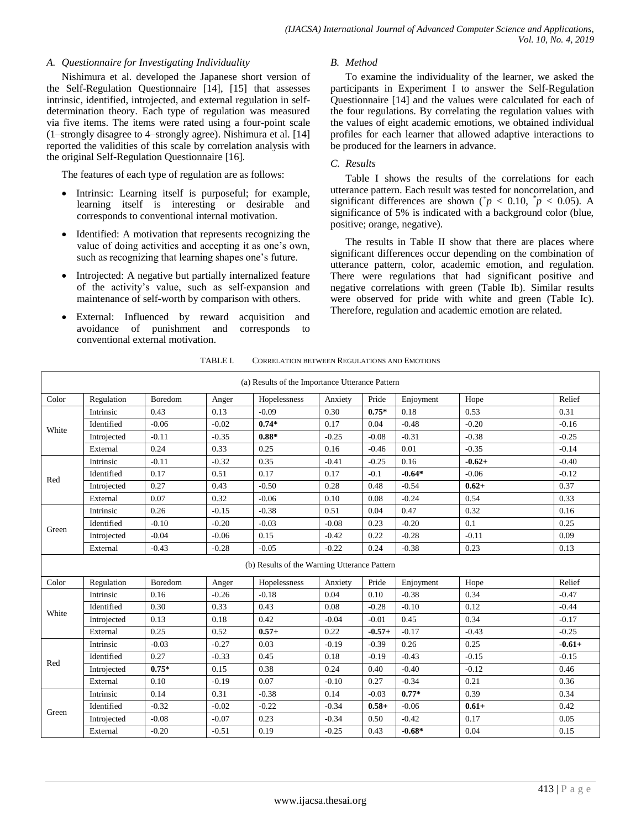# *A. Questionnaire for Investigating Individuality*

Nishimura et al. developed the Japanese short version of the Self-Regulation Questionnaire [14], [15] that assesses intrinsic, identified, introjected, and external regulation in selfdetermination theory. Each type of regulation was measured via five items. The items were rated using a four-point scale (1–strongly disagree to 4–strongly agree). Nishimura et al. [14] reported the validities of this scale by correlation analysis with the original Self-Regulation Questionnaire [16].

The features of each type of regulation are as follows:

- Intrinsic: Learning itself is purposeful; for example, learning itself is interesting or desirable and corresponds to conventional internal motivation.
- Identified: A motivation that represents recognizing the value of doing activities and accepting it as one"s own, such as recognizing that learning shapes one's future.
- Introjected: A negative but partially internalized feature of the activity"s value, such as self-expansion and maintenance of self-worth by comparison with others.
- External: Influenced by reward acquisition and avoidance of punishment and corresponds to conventional external motivation.

# *B. Method*

To examine the individuality of the learner, we asked the participants in Experiment I to answer the Self-Regulation Questionnaire [14] and the values were calculated for each of the four regulations. By correlating the regulation values with the values of eight academic emotions, we obtained individual profiles for each learner that allowed adaptive interactions to be produced for the learners in advance.

# *C. Results*

Table I shows the results of the correlations for each utterance pattern. Each result was tested for noncorrelation, and significant differences are shown ( $p < 0.10$ ,  $p < 0.05$ ). A significance of 5% is indicated with a background color (blue, positive; orange, negative).

The results in Table II show that there are places where significant differences occur depending on the combination of utterance pattern, color, academic emotion, and regulation. There were regulations that had significant positive and negative correlations with green (Table Ib). Similar results were observed for pride with white and green (Table Ic). Therefore, regulation and academic emotion are related.

|       | (a) Results of the Importance Utterance Pattern |         |         |                                              |         |          |           |          |          |
|-------|-------------------------------------------------|---------|---------|----------------------------------------------|---------|----------|-----------|----------|----------|
| Color | Regulation                                      | Boredom | Anger   | Hopelessness                                 | Anxiety | Pride    | Enjoyment | Hope     | Relief   |
|       | Intrinsic                                       | 0.43    | 0.13    | $-0.09$                                      | 0.30    | $0.75*$  | 0.18      | 0.53     | 0.31     |
|       | Identified                                      | $-0.06$ | $-0.02$ | $0.74*$                                      | 0.17    | 0.04     | $-0.48$   | $-0.20$  | $-0.16$  |
| White | Introjected                                     | $-0.11$ | $-0.35$ | $0.88*$                                      | $-0.25$ | $-0.08$  | $-0.31$   | $-0.38$  | $-0.25$  |
|       | External                                        | 0.24    | 0.33    | 0.25                                         | 0.16    | $-0.46$  | 0.01      | $-0.35$  | $-0.14$  |
|       | Intrinsic                                       | $-0.11$ | $-0.32$ | 0.35                                         | $-0.41$ | $-0.25$  | 0.16      | $-0.62+$ | $-0.40$  |
| Red   | Identified                                      | 0.17    | 0.51    | 0.17                                         | 0.17    | $-0.1$   | $-0.64*$  | $-0.06$  | $-0.12$  |
|       | Introjected                                     | 0.27    | 0.43    | $-0.50$                                      | 0.28    | 0.48     | $-0.54$   | $0.62 +$ | 0.37     |
|       | External                                        | 0.07    | 0.32    | $-0.06$                                      | 0.10    | 0.08     | $-0.24$   | 0.54     | 0.33     |
|       | Intrinsic                                       | 0.26    | $-0.15$ | $-0.38$                                      | 0.51    | 0.04     | 0.47      | 0.32     | 0.16     |
| Green | Identified                                      | $-0.10$ | $-0.20$ | $-0.03$                                      | $-0.08$ | 0.23     | $-0.20$   | 0.1      | 0.25     |
|       | Introjected                                     | $-0.04$ | $-0.06$ | 0.15                                         | $-0.42$ | 0.22     | $-0.28$   | $-0.11$  | 0.09     |
|       | External                                        | $-0.43$ | $-0.28$ | $-0.05$                                      | $-0.22$ | 0.24     | $-0.38$   | 0.23     | 0.13     |
|       |                                                 |         |         | (b) Results of the Warning Utterance Pattern |         |          |           |          |          |
| Color | Regulation                                      | Boredom | Anger   | Hopelessness                                 | Anxiety | Pride    | Enjoyment | Hope     | Relief   |
|       | Intrinsic                                       | 0.16    | $-0.26$ | $-0.18$                                      | 0.04    | 0.10     | $-0.38$   | 0.34     | $-0.47$  |
| White | Identified                                      | 0.30    | 0.33    | 0.43                                         | 0.08    | $-0.28$  | $-0.10$   | 0.12     | $-0.44$  |
|       | Introjected                                     | 0.13    | 0.18    | 0.42                                         | $-0.04$ | $-0.01$  | 0.45      | 0.34     | $-0.17$  |
|       | External                                        | 0.25    | 0.52    | $0.57+$                                      | 0.22    | $-0.57+$ | $-0.17$   | $-0.43$  | $-0.25$  |
|       | Intrinsic                                       | $-0.03$ | $-0.27$ | 0.03                                         | $-0.19$ | $-0.39$  | 0.26      | 0.25     | $-0.61+$ |
| Red   | Identified                                      | 0.27    | $-0.33$ | 0.45                                         | 0.18    | $-0.19$  | $-0.43$   | $-0.15$  | $-0.15$  |
|       | Introjected                                     | $0.75*$ | 0.15    | 0.38                                         | 0.24    | 0.40     | $-0.40$   | $-0.12$  | 0.46     |
|       | External                                        | 0.10    | $-0.19$ | 0.07                                         | $-0.10$ | 0.27     | $-0.34$   | 0.21     | 0.36     |
|       | Intrinsic                                       | 0.14    | 0.31    | $-0.38$                                      | 0.14    | $-0.03$  | $0.77*$   | 0.39     | 0.34     |
|       | Identified                                      | $-0.32$ | $-0.02$ | $-0.22$                                      | $-0.34$ | $0.58 +$ | $-0.06$   | $0.61 +$ | 0.42     |
| Green | Introjected                                     | $-0.08$ | $-0.07$ | 0.23                                         | $-0.34$ | 0.50     | $-0.42$   | 0.17     | 0.05     |
|       | External                                        | $-0.20$ | $-0.51$ | 0.19                                         | $-0.25$ | 0.43     | $-0.68*$  | 0.04     | 0.15     |

TABLE I. CORRELATION BETWEEN REGULATIONS AND EMOTIONS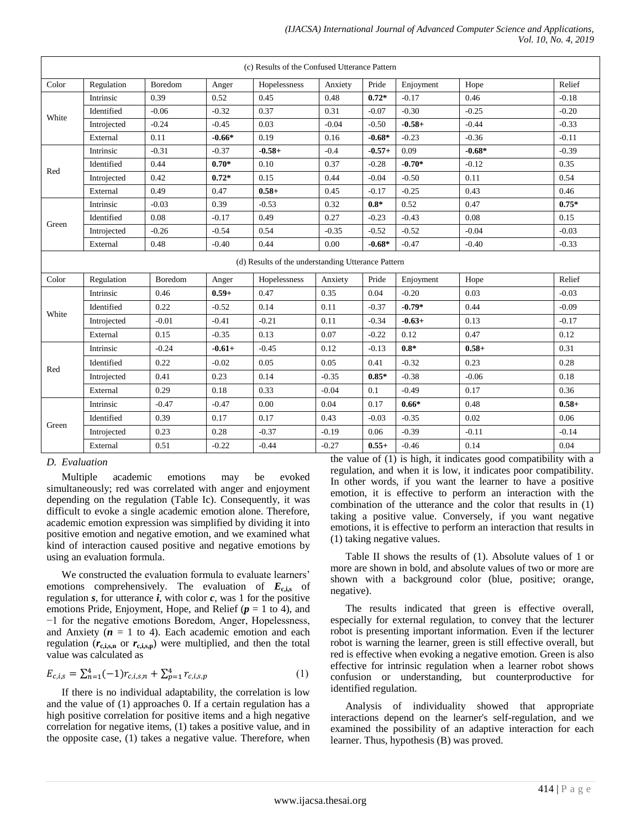|       | (c) Results of the Confused Utterance Pattern |         |          |                                                    |          |          |           |          |         |
|-------|-----------------------------------------------|---------|----------|----------------------------------------------------|----------|----------|-----------|----------|---------|
| Color | Regulation                                    | Boredom | Anger    | Hopelessness                                       | Anxiety  | Pride    | Enjoyment | Hope     | Relief  |
|       | Intrinsic                                     | 0.39    | 0.52     | 0.45                                               | 0.48     | $0.72*$  | $-0.17$   | 0.46     | $-0.18$ |
|       | Identified                                    | $-0.06$ | $-0.32$  | 0.37                                               | 0.31     | $-0.07$  | $-0.30$   | $-0.25$  | $-0.20$ |
| White | Introjected                                   | $-0.24$ | $-0.45$  | 0.03                                               | $-0.04$  | $-0.50$  | $-0.58+$  | $-0.44$  | $-0.33$ |
|       | External                                      | 0.11    | $-0.66*$ | 0.19                                               | 0.16     | $-0.68*$ | $-0.23$   | $-0.36$  | $-0.11$ |
|       | Intrinsic                                     | $-0.31$ | $-0.37$  | $-0.58+$                                           | $-0.4$   | $-0.57+$ | 0.09      | $-0.68*$ | $-0.39$ |
| Red   | Identified                                    | 0.44    | $0.70*$  | 0.10                                               | 0.37     | $-0.28$  | $-0.70*$  | $-0.12$  | 0.35    |
|       | Introjected                                   | 0.42    | $0.72*$  | 0.15                                               | 0.44     | $-0.04$  | $-0.50$   | 0.11     | 0.54    |
|       | External                                      | 0.49    | 0.47     | $0.58+$                                            | 0.45     | $-0.17$  | $-0.25$   | 0.43     | 0.46    |
|       | Intrinsic                                     | $-0.03$ | 0.39     | $-0.53$                                            | 0.32     | $0.8*$   | 0.52      | 0.47     | $0.75*$ |
| Green | Identified                                    | 0.08    | $-0.17$  | 0.49                                               | 0.27     | $-0.23$  | $-0.43$   | 0.08     | 0.15    |
|       | Introjected                                   | $-0.26$ | $-0.54$  | 0.54                                               | $-0.35$  | $-0.52$  | $-0.52$   | $-0.04$  | $-0.03$ |
|       | External                                      | 0.48    | $-0.40$  | 0.44                                               | 0.00     | $-0.68*$ | $-0.47$   | $-0.40$  | $-0.33$ |
|       |                                               |         |          | (d) Results of the understanding Utterance Pattern |          |          |           |          |         |
| Color | Regulation                                    | Boredom | Anger    | Hopelessness                                       | Anxiety  | Pride    | Enjoyment | Hope     | Relief  |
|       | Intrinsic                                     | 0.46    | $0.59+$  | 0.47                                               | 0.35     | 0.04     | $-0.20$   | 0.03     | $-0.03$ |
| White | Identified                                    | 0.22    | $-0.52$  | 0.14                                               | $0.11\,$ | $-0.37$  | $-0.79*$  | 0.44     | $-0.09$ |
|       | Introjected                                   | $-0.01$ | $-0.41$  | $-0.21$                                            | 0.11     | $-0.34$  | $-0.63+$  | 0.13     | $-0.17$ |
|       | External                                      | 0.15    | $-0.35$  | 0.13                                               | 0.07     | $-0.22$  | 0.12      | 0.47     | 0.12    |
| Red   | Intrinsic                                     | $-0.24$ | $-0.61+$ | $-0.45$                                            | 0.12     | $-0.13$  | $0.8*$    | $0.58+$  | 0.31    |
|       | Identified                                    | 0.22    | $-0.02$  | 0.05                                               | 0.05     | 0.41     | $-0.32$   | 0.23     | 0.28    |
|       | Introjected                                   | 0.41    | 0.23     | 0.14                                               | $-0.35$  | $0.85*$  | $-0.38$   | $-0.06$  | 0.18    |
|       | External                                      | 0.29    | 0.18     | 0.33                                               | $-0.04$  | 0.1      | $-0.49$   | 0.17     | 0.36    |
|       | Intrinsic                                     | $-0.47$ | $-0.47$  | 0.00                                               | 0.04     | 0.17     | $0.66*$   | 0.48     | $0.58+$ |
|       | Identified                                    | 0.39    | 0.17     | 0.17                                               | 0.43     | $-0.03$  | $-0.35$   | 0.02     | 0.06    |
| Green | Introjected                                   | 0.23    | 0.28     | $-0.37$                                            | $-0.19$  | 0.06     | $-0.39$   | $-0.11$  | $-0.14$ |
|       | External                                      | 0.51    | $-0.22$  | $-0.44$                                            | $-0.27$  | $0.55+$  | $-0.46$   | 0.14     | 0.04    |

*D. Evaluation*

Multiple academic emotions may be evoked simultaneously; red was correlated with anger and enjoyment depending on the regulation (Table Ic). Consequently, it was difficult to evoke a single academic emotion alone. Therefore, academic emotion expression was simplified by dividing it into positive emotion and negative emotion, and we examined what kind of interaction caused positive and negative emotions by using an evaluation formula.

We constructed the evaluation formula to evaluate learners' emotions comprehensively. The evaluation of  $E_{\text{c},i,s}$  of regulation *s*, for utterance *i*, with color *c*, was 1 for the positive emotions Pride, Enjoyment, Hope, and Relief  $(p = 1$  to 4), and −1 for the negative emotions Boredom, Anger, Hopelessness, and Anxiety  $(n = 1$  to 4). Each academic emotion and each regulation  $(r_{\text{c,i,s,n}})$  or  $r_{\text{c,i,s,p}}$ ) were multiplied, and then the total value was calculated as

$$
E_{c,i,s} = \sum_{n=1}^{4} (-1)r_{c,i,s,n} + \sum_{p=1}^{4} r_{c,i,s,p}
$$
 (1)

If there is no individual adaptability, the correlation is low and the value of (1) approaches 0. If a certain regulation has a high positive correlation for positive items and a high negative correlation for negative items, (1) takes a positive value, and in the opposite case, (1) takes a negative value. Therefore, when the value of (1) is high, it indicates good compatibility with a regulation, and when it is low, it indicates poor compatibility. In other words, if you want the learner to have a positive emotion, it is effective to perform an interaction with the combination of the utterance and the color that results in (1) taking a positive value. Conversely, if you want negative emotions, it is effective to perform an interaction that results in (1) taking negative values.

Table II shows the results of (1). Absolute values of 1 or more are shown in bold, and absolute values of two or more are shown with a background color (blue, positive; orange, negative).

The results indicated that green is effective overall, especially for external regulation, to convey that the lecturer robot is presenting important information. Even if the lecturer robot is warning the learner, green is still effective overall, but red is effective when evoking a negative emotion. Green is also effective for intrinsic regulation when a learner robot shows confusion or understanding, but counterproductive for identified regulation.

Analysis of individuality showed that appropriate interactions depend on the learner's self-regulation, and we examined the possibility of an adaptive interaction for each learner. Thus, hypothesis (B) was proved.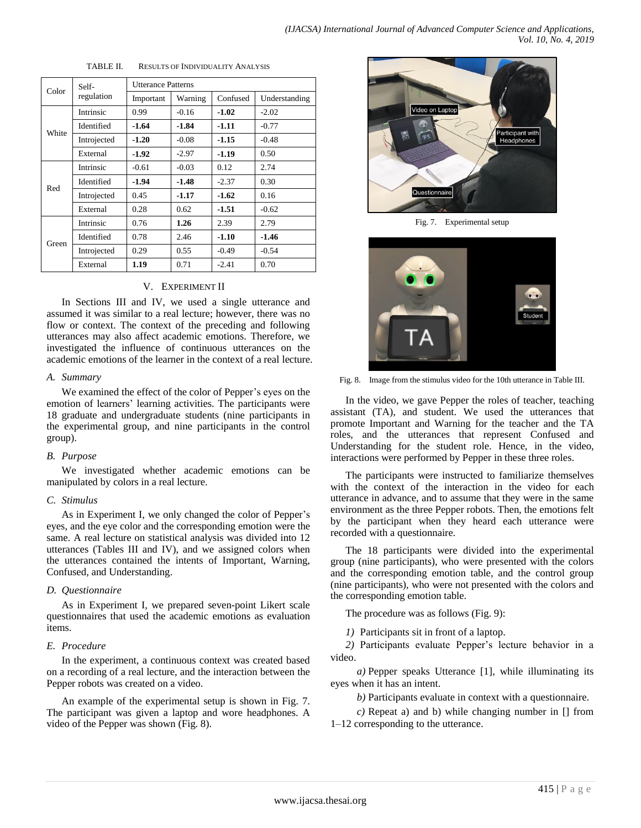|       | TABLE II.   |                           |         | RESULTS OF INDIVIDUALITY ANALYSIS |               |  |  |
|-------|-------------|---------------------------|---------|-----------------------------------|---------------|--|--|
|       | Self-       | <b>Utterance Patterns</b> |         |                                   |               |  |  |
| Color | regulation  | Important                 | Warning | Confused                          | Understanding |  |  |
| White | Intrinsic   | 0.99                      | $-0.16$ | $-1.02$                           | $-2.02$       |  |  |
|       | Identified  | -1.64                     | $-1.84$ | $-1.11$                           | $-0.77$       |  |  |
|       | Introjected | $-1.20$                   | $-0.08$ | $-1.15$                           | $-0.48$       |  |  |
|       | External    | -1.92                     | $-2.97$ | -1.19                             | 0.50          |  |  |
|       | Intrinsic   | $-0.61$                   | $-0.03$ | 0.12                              | 2.74          |  |  |
|       | Identified  | -1.94                     | $-1.48$ | $-2.37$                           | 0.30          |  |  |
| Red   | Introjected | 0.45                      | -1.17   | $-1.62$                           | 0.16          |  |  |
|       | External    | 0.28                      | 0.62    | $-1.51$                           | $-0.62$       |  |  |
| Green | Intrinsic   | 0.76                      | 1.26    | 2.39                              | 2.79          |  |  |
|       | Identified  | 0.78                      | 2.46    | $-1.10$                           | $-1.46$       |  |  |
|       | Introjected | 0.29                      | 0.55    | $-0.49$                           | $-0.54$       |  |  |
|       | External    | 1.19                      | 0.71    | $-2.41$                           | 0.70          |  |  |

TABLE II. RESULTS OF INDUSTRIALITY ANALYSIS

## V. EXPERIMENT II

In Sections III and IV, we used a single utterance and assumed it was similar to a real lecture; however, there was no flow or context. The context of the preceding and following utterances may also affect academic emotions. Therefore, we investigated the influence of continuous utterances on the academic emotions of the learner in the context of a real lecture.

#### *A. Summary*

We examined the effect of the color of Pepper's eyes on the emotion of learners' learning activities. The participants were 18 graduate and undergraduate students (nine participants in the experimental group, and nine participants in the control group).

## *B. Purpose*

We investigated whether academic emotions can be manipulated by colors in a real lecture.

## *C. Stimulus*

As in Experiment I, we only changed the color of Pepper's eyes, and the eye color and the corresponding emotion were the same. A real lecture on statistical analysis was divided into 12 utterances (Tables III and IV), and we assigned colors when the utterances contained the intents of Important, Warning, Confused, and Understanding.

#### *D. Questionnaire*

As in Experiment I, we prepared seven-point Likert scale questionnaires that used the academic emotions as evaluation items.

## *E. Procedure*

In the experiment, a continuous context was created based on a recording of a real lecture, and the interaction between the Pepper robots was created on a video.

An example of the experimental setup is shown in Fig. 7. The participant was given a laptop and wore headphones. A video of the Pepper was shown (Fig. 8).



Fig. 7. Experimental setup



Fig. 8. Image from the stimulus video for the 10th utterance in Table III.

In the video, we gave Pepper the roles of teacher, teaching assistant (TA), and student. We used the utterances that promote Important and Warning for the teacher and the TA roles, and the utterances that represent Confused and Understanding for the student role. Hence, in the video, interactions were performed by Pepper in these three roles.

The participants were instructed to familiarize themselves with the context of the interaction in the video for each utterance in advance, and to assume that they were in the same environment as the three Pepper robots. Then, the emotions felt by the participant when they heard each utterance were recorded with a questionnaire.

The 18 participants were divided into the experimental group (nine participants), who were presented with the colors and the corresponding emotion table, and the control group (nine participants), who were not presented with the colors and the corresponding emotion table.

The procedure was as follows (Fig. 9):

*1)* Participants sit in front of a laptop.

*2)* Participants evaluate Pepper"s lecture behavior in a video.

*a)* Pepper speaks Utterance [1], while illuminating its eyes when it has an intent.

*b)* Participants evaluate in context with a questionnaire.

*c)* Repeat a) and b) while changing number in [] from 1–12 corresponding to the utterance.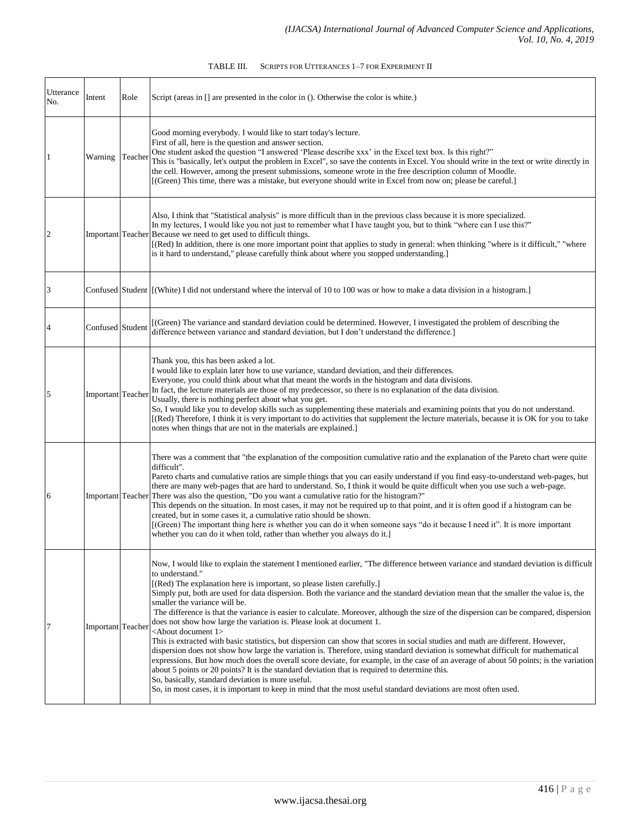| TABLE III. | SCRIPTS FOR UTTERANCES 1-7 FOR EXPERIMENT II |  |
|------------|----------------------------------------------|--|
|            |                                              |  |

| Utterance<br>No. | Intent            | Role | Script (areas in [] are presented in the color in (). Otherwise the color is white.)                                                                                                                                                                                                                                                                                                                                                                                                                                                                                                                                                                                                                                                                                                                                                                                                                                                                                                                                                                                                                                                                                                                                                                                                                                                                          |
|------------------|-------------------|------|---------------------------------------------------------------------------------------------------------------------------------------------------------------------------------------------------------------------------------------------------------------------------------------------------------------------------------------------------------------------------------------------------------------------------------------------------------------------------------------------------------------------------------------------------------------------------------------------------------------------------------------------------------------------------------------------------------------------------------------------------------------------------------------------------------------------------------------------------------------------------------------------------------------------------------------------------------------------------------------------------------------------------------------------------------------------------------------------------------------------------------------------------------------------------------------------------------------------------------------------------------------------------------------------------------------------------------------------------------------|
| 1                | Warning Teacher   |      | Good morning everybody. I would like to start today's lecture.<br>First of all, here is the question and answer section.<br>One student asked the question "I answered 'Please describe xxx' in the Excel text box. Is this right?"<br>This is "basically, let's output the problem in Excel", so save the contents in Excel. You should write in the text or write directly in<br>the cell. However, among the present submissions, someone wrote in the free description column of Moodle.<br>[(Green) This time, there was a mistake, but everyone should write in Excel from now on; please be careful.]                                                                                                                                                                                                                                                                                                                                                                                                                                                                                                                                                                                                                                                                                                                                                  |
| $\overline{2}$   |                   |      | Also, I think that "Statistical analysis" is more difficult than in the previous class because it is more specialized.<br>In my lectures, I would like you not just to remember what I have taught you, but to think "where can I use this?"<br>Important Teacher Because we need to get used to difficult things.<br>[(Red) In addition, there is one more important point that applies to study in general: when thinking "where is it difficult," "where<br>is it hard to understand," please carefully think about where you stopped understanding.]                                                                                                                                                                                                                                                                                                                                                                                                                                                                                                                                                                                                                                                                                                                                                                                                      |
| 3                |                   |      | Confused Student [(White) I did not understand where the interval of 10 to 100 was or how to make a data division in a histogram.]                                                                                                                                                                                                                                                                                                                                                                                                                                                                                                                                                                                                                                                                                                                                                                                                                                                                                                                                                                                                                                                                                                                                                                                                                            |
|                  | Confused Student  |      | [(Green) The variance and standard deviation could be determined. However, I investigated the problem of describing the<br>difference between variance and standard deviation, but I don't understand the difference.]                                                                                                                                                                                                                                                                                                                                                                                                                                                                                                                                                                                                                                                                                                                                                                                                                                                                                                                                                                                                                                                                                                                                        |
| 5                | Important Teacher |      | Thank you, this has been asked a lot.<br>I would like to explain later how to use variance, standard deviation, and their differences.<br>Everyone, you could think about what that meant the words in the histogram and data divisions.<br>In fact, the lecture materials are those of my predecessor, so there is no explanation of the data division.<br>Usually, there is nothing perfect about what you get.<br>So, I would like you to develop skills such as supplementing these materials and examining points that you do not understand.<br>[(Red) Therefore, I think it is very important to do activities that supplement the lecture materials, because it is OK for you to take<br>notes when things that are not in the materials are explained.]                                                                                                                                                                                                                                                                                                                                                                                                                                                                                                                                                                                              |
| 6                | Important Teacher |      | There was a comment that "the explanation of the composition cumulative ratio and the explanation of the Pareto chart were quite<br>difficult".<br>Pareto charts and cumulative ratios are simple things that you can easily understand if you find easy-to-understand web-pages, but<br>there are many web-pages that are hard to understand. So, I think it would be quite difficult when you use such a web-page.<br>There was also the question, "Do you want a cumulative ratio for the histogram?"<br>This depends on the situation. In most cases, it may not be required up to that point, and it is often good if a histogram can be<br>created, but in some cases it, a cumulative ratio should be shown.<br>[(Green) The important thing here is whether you can do it when someone says "do it because I need it". It is more important<br>whether you can do it when told, rather than whether you always do it.]                                                                                                                                                                                                                                                                                                                                                                                                                                |
| 7                | Important Teacher |      | Now, I would like to explain the statement I mentioned earlier, "The difference between variance and standard deviation is difficult<br>to understand."<br>[(Red) The explanation here is important, so please listen carefully.]<br>Simply put, both are used for data dispersion. Both the variance and the standard deviation mean that the smaller the value is, the<br>smaller the variance will be.<br>The difference is that the variance is easier to calculate. Moreover, although the size of the dispersion can be compared, dispersion<br>does not show how large the variation is. Please look at document 1.<br><about 1="" document=""><br/>This is extracted with basic statistics, but dispersion can show that scores in social studies and math are different. However,<br/>dispersion does not show how large the variation is. Therefore, using standard deviation is somewhat difficult for mathematical<br/>expressions. But how much does the overall score deviate, for example, in the case of an average of about 50 points; is the variation<br/>about 5 points or 20 points? It is the standard deviation that is required to determine this.<br/>So, basically, standard deviation is more useful.<br/>So, in most cases, it is important to keep in mind that the most useful standard deviations are most often used.</about> |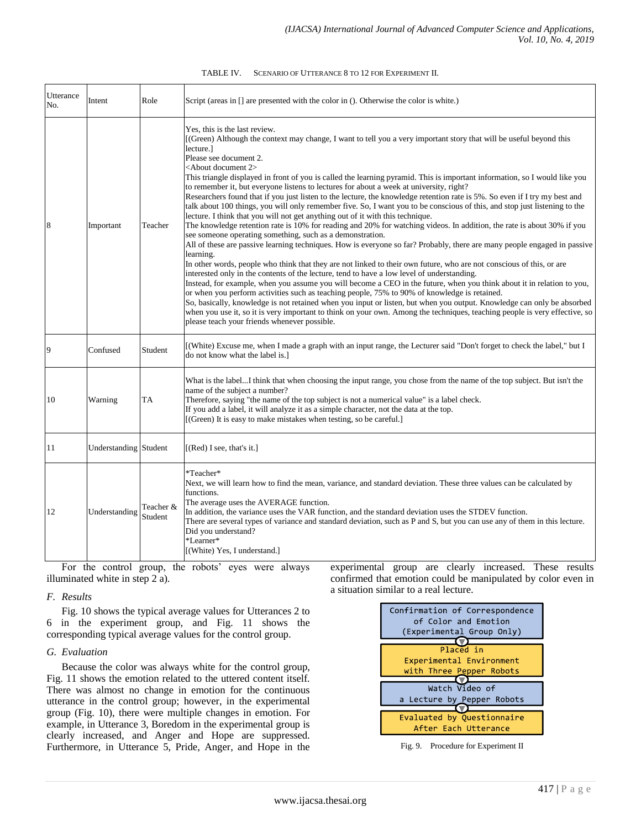| TABLE IV. | SCENARIO OF UTTERANCE 8 TO 12 FOR EXPERIMENT II. |
|-----------|--------------------------------------------------|
|-----------|--------------------------------------------------|

| Utterance<br>No. | Intent                | Role                 | Script (areas in $\lceil$ ) are presented with the color in (). Otherwise the color is white.)                                                                                                                                                                                                                                                                                                                                                                                                                                                                                                                                                                                                                                                                                                                                                                                                                                                                                                                                                                                                                                                                                                                                                                                                                                                                                                                                                                                                                                                                                                                                                                                                                                                                                                                                                                                                                 |
|------------------|-----------------------|----------------------|----------------------------------------------------------------------------------------------------------------------------------------------------------------------------------------------------------------------------------------------------------------------------------------------------------------------------------------------------------------------------------------------------------------------------------------------------------------------------------------------------------------------------------------------------------------------------------------------------------------------------------------------------------------------------------------------------------------------------------------------------------------------------------------------------------------------------------------------------------------------------------------------------------------------------------------------------------------------------------------------------------------------------------------------------------------------------------------------------------------------------------------------------------------------------------------------------------------------------------------------------------------------------------------------------------------------------------------------------------------------------------------------------------------------------------------------------------------------------------------------------------------------------------------------------------------------------------------------------------------------------------------------------------------------------------------------------------------------------------------------------------------------------------------------------------------------------------------------------------------------------------------------------------------|
|                  | Important             | Teacher              | Yes, this is the last review.<br>[(Green) Although the context may change, I want to tell you a very important story that will be useful beyond this<br>lecture.]<br>Please see document 2.<br><about 2="" document=""><br/>This triangle displayed in front of you is called the learning pyramid. This is important information, so I would like you<br/>to remember it, but everyone listens to lectures for about a week at university, right?<br/>Researchers found that if you just listen to the lecture, the knowledge retention rate is 5%. So even if I try my best and<br/>talk about 100 things, you will only remember five. So, I want you to be conscious of this, and stop just listening to the<br/>lecture. I think that you will not get anything out of it with this technique.<br/>The knowledge retention rate is 10% for reading and 20% for watching videos. In addition, the rate is about 30% if you<br/>see someone operating something, such as a demonstration.<br/>All of these are passive learning techniques. How is everyone so far? Probably, there are many people engaged in passive<br/>learning.<br/>In other words, people who think that they are not linked to their own future, who are not conscious of this, or are<br/>interested only in the contents of the lecture, tend to have a low level of understanding.<br/>Instead, for example, when you assume you will become a CEO in the future, when you think about it in relation to you,<br/>or when you perform activities such as teaching people, 75% to 90% of knowledge is retained.<br/>So, basically, knowledge is not retained when you input or listen, but when you output. Knowledge can only be absorbed<br/>when you use it, so it is very important to think on your own. Among the techniques, teaching people is very effective, so<br/>please teach your friends whenever possible.</about> |
| 9                | Confused              | Student              | [(White) Excuse me, when I made a graph with an input range, the Lecturer said "Don't forget to check the label," but I<br>do not know what the label is.]                                                                                                                                                                                                                                                                                                                                                                                                                                                                                                                                                                                                                                                                                                                                                                                                                                                                                                                                                                                                                                                                                                                                                                                                                                                                                                                                                                                                                                                                                                                                                                                                                                                                                                                                                     |
| 10               | Warning               | TA                   | What is the labelI think that when choosing the input range, you chose from the name of the top subject. But isn't the<br>name of the subject a number?<br>Therefore, saying "the name of the top subject is not a numerical value" is a label check.<br>If you add a label, it will analyze it as a simple character, not the data at the top.<br>[(Green) It is easy to make mistakes when testing, so be careful.]                                                                                                                                                                                                                                                                                                                                                                                                                                                                                                                                                                                                                                                                                                                                                                                                                                                                                                                                                                                                                                                                                                                                                                                                                                                                                                                                                                                                                                                                                          |
| 11               | Understanding Student |                      | $[(Red)$ I see, that's it.]                                                                                                                                                                                                                                                                                                                                                                                                                                                                                                                                                                                                                                                                                                                                                                                                                                                                                                                                                                                                                                                                                                                                                                                                                                                                                                                                                                                                                                                                                                                                                                                                                                                                                                                                                                                                                                                                                    |
| 12               | Understanding         | Teacher &<br>Student | *Teacher*<br>Next, we will learn how to find the mean, variance, and standard deviation. These three values can be calculated by<br>functions.<br>The average uses the AVERAGE function.<br>In addition, the variance uses the VAR function, and the standard deviation uses the STDEV function.<br>There are several types of variance and standard deviation, such as P and S, but you can use any of them in this lecture.<br>Did you understand?<br>*Learner*<br>[(White) Yes, I understand.]                                                                                                                                                                                                                                                                                                                                                                                                                                                                                                                                                                                                                                                                                                                                                                                                                                                                                                                                                                                                                                                                                                                                                                                                                                                                                                                                                                                                              |

For the control group, the robots' eyes were always illuminated white in step 2 a).

# *F. Results*

Fig. 10 shows the typical average values for Utterances 2 to 6 in the experiment group, and Fig. 11 shows the corresponding typical average values for the control group.

# *G. Evaluation*

Because the color was always white for the control group, Fig. 11 shows the emotion related to the uttered content itself. There was almost no change in emotion for the continuous utterance in the control group; however, in the experimental group (Fig. 10), there were multiple changes in emotion. For example, in Utterance 3, Boredom in the experimental group is clearly increased, and Anger and Hope are suppressed. Furthermore, in Utterance 5, Pride, Anger, and Hope in the



experimental group are clearly increased. These results confirmed that emotion could be manipulated by color even in

a situation similar to a real lecture.

Fig. 9. Procedure for Experiment II